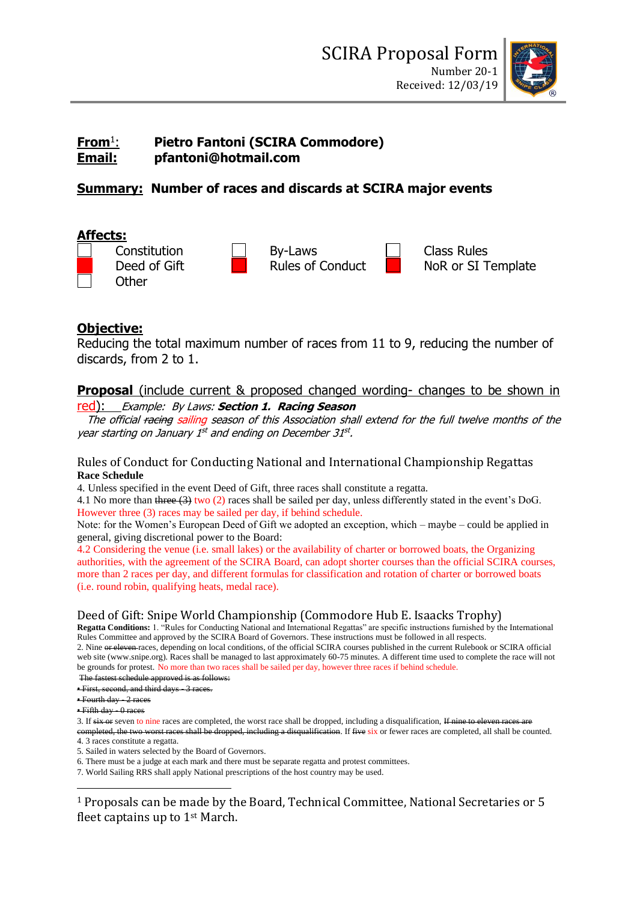

#### **From**<sup>1</sup> : **Pietro Fantoni (SCIRA Commodore) Email: pfantoni@hotmail.com**

# **Summary: Number of races and discards at SCIRA major events**

# **Affects:**

| Constitution |
|--------------|
| Deed of Gift |
| Other        |



NoR or SI Template

# **Objective:**

Reducing the total maximum number of races from 11 to 9, reducing the number of discards, from 2 to 1.

# **Proposal** (include current & proposed changed wording- changes to be shown in

red): Example: By Laws: **Section 1. Racing Season**

The official racing sailing season of this Association shall extend for the full twelve months of the year starting on January 1<sup>st</sup> and ending on December 31st.

### Rules of Conduct for Conducting National and International Championship Regattas **Race Schedule**

4. Unless specified in the event Deed of Gift, three races shall constitute a regatta.

4.1 No more than three (3) two (2) races shall be sailed per day, unless differently stated in the event's DoG. However three (3) races may be sailed per day, if behind schedule.

Note: for the Women's European Deed of Gift we adopted an exception, which – maybe – could be applied in general, giving discretional power to the Board:

4.2 Considering the venue (i.e. small lakes) or the availability of charter or borrowed boats, the Organizing authorities, with the agreement of the SCIRA Board, can adopt shorter courses than the official SCIRA courses, more than 2 races per day, and different formulas for classification and rotation of charter or borrowed boats (i.e. round robin, qualifying heats, medal race).

# Deed of Gift: Snipe World Championship (Commodore Hub E. Isaacks Trophy)

**Regatta Conditions:** 1. "Rules for Conducting National and International Regattas" are specific instructions furnished by the International Rules Committee and approved by the SCIRA Board of Governors. These instructions must be followed in all respects. 2. Nine or eleven races, depending on local conditions, of the official SCIRA courses published in the current Rulebook or SCIRA official web site (www.snipe.org). Races shall be managed to last approximately 60-75 minutes. A different time used to complete the race will not be grounds for protest. No more than two races shall be sailed per day, however three races if behind schedule.

The fastest schedule approved is as follows:

• First, second, and third days 3 races.

• Fourth day - 2 races

3. If six or seven to nine races are completed, the worst race shall be dropped, including a disqualification, If nine to eleven

completed, the two worst races shall be dropped, including a disqualification. If five six or fewer races are completed, all shall be counted. 4. 3 races constitute a regatta.

5. Sailed in waters selected by the Board of Governors.

6. There must be a judge at each mark and there must be separate regatta and protest committees.

7. World Sailing RRS shall apply National prescriptions of the host country may be used.

<sup>1</sup> Proposals can be made by the Board, Technical Committee, National Secretaries or 5 fleet captains up to 1st March.

 $\blacktriangle$  Eifth day  $\theta$  races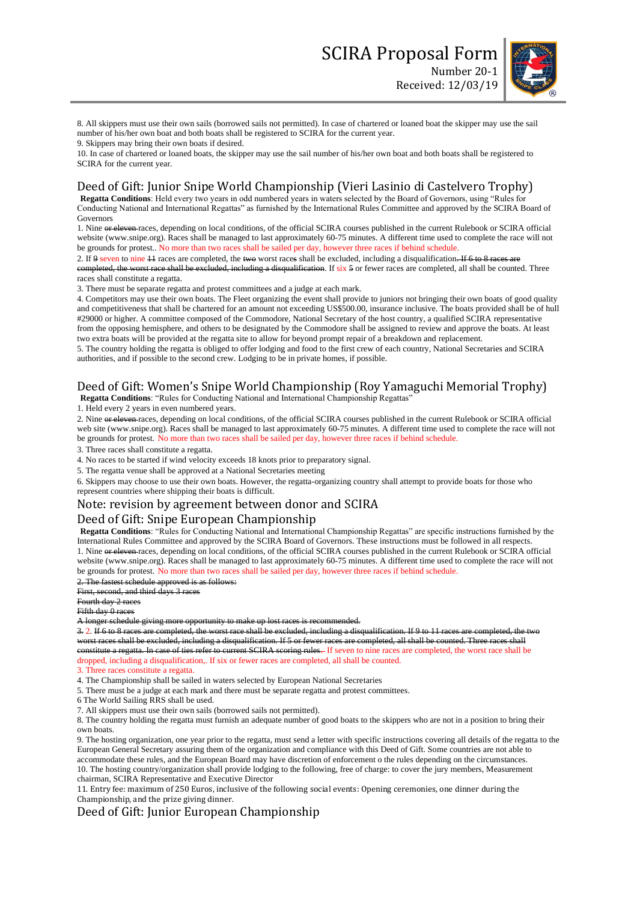

8. All skippers must use their own sails (borrowed sails not permitted). In case of chartered or loaned boat the skipper may use the sail number of his/her own boat and both boats shall be registered to SCIRA for the current year.

9. Skippers may bring their own boats if desired.

10. In case of chartered or loaned boats, the skipper may use the sail number of his/her own boat and both boats shall be registered to SCIRA for the current year.

### Deed of Gift: Junior Snipe World Championship (Vieri Lasinio di Castelvero Trophy)

**Regatta Conditions**: Held every two years in odd numbered years in waters selected by the Board of Governors, using "Rules for Conducting National and International Regattas" as furnished by the International Rules Committee and approved by the SCIRA Board of Governors

1. Nine or eleven races, depending on local conditions, of the official SCIRA courses published in the current Rulebook or SCIRA official website (www.snipe.org). Races shall be managed to last approximately 60-75 minutes. A different time used to complete the race will not be grounds for protest.. No more than two races shall be sailed per day, however three races if behind schedule.

2. If 9 seven to nine  $11$  races are completed, the two worst races shall be excluded, including a disqualification. If 6 to 8  $\mu$ completed, the worst race shall be excluded, including a disqualification. If six 5 or fewer races are completed, all shall be counted. Three races shall constitute a regatta.

3. There must be separate regatta and protest committees and a judge at each mark.

4. Competitors may use their own boats. The Fleet organizing the event shall provide to juniors not bringing their own boats of good quality and competitiveness that shall be chartered for an amount not exceeding US\$500.00, insurance inclusive. The boats provided shall be of hull #29000 or higher. A committee composed of the Commodore, National Secretary of the host country, a qualified SCIRA representative from the opposing hemisphere, and others to be designated by the Commodore shall be assigned to review and approve the boats. At least two extra boats will be provided at the regatta site to allow for beyond prompt repair of a breakdown and replacement.

5. The country holding the regatta is obliged to offer lodging and food to the first crew of each country, National Secretaries and SCIRA authorities, and if possible to the second crew. Lodging to be in private homes, if possible.

# Deed of Gift: Women's Snipe World Championship (Roy Yamaguchi Memorial Trophy)

**Regatta Conditions**: "Rules for Conducting National and International Championship Regattas"

1. Held every 2 years in even numbered years.

2. Nine or eleven races, depending on local conditions, of the official SCIRA courses published in the current Rulebook or SCIRA official web site (www.snipe.org). Races shall be managed to last approximately 60-75 minutes. A different time used to complete the race will not be grounds for protest. No more than two races shall be sailed per day, however three races if behind schedule.

3. Three races shall constitute a regatta.

4. No races to be started if wind velocity exceeds 18 knots prior to preparatory signal.

5. The regatta venue shall be approved at a National Secretaries meeting

6. Skippers may choose to use their own boats. However, the regatta-organizing country shall attempt to provide boats for those who represent countries where shipping their boats is difficult.

#### Note: revision by agreement between donor and SCIRA

### Deed of Gift: Snipe European Championship

**Regatta Conditions**: "Rules for Conducting National and International Championship Regattas" are specific instructions furnished by the International Rules Committee and approved by the SCIRA Board of Governors. These instructions must be followed in all respects. 1. Nine or eleven races, depending on local conditions, of the official SCIRA courses published in the current Rulebook or SCIRA official website (www.snipe.org). Races shall be managed to last approximately 60-75 minutes. A different time used to complete the race will not be grounds for protest. No more than two races shall be sailed per day, however three races if behind schedule.

2. The fastest schedule approved is as follows:

First, second, and third days 3 races

# Fourth day 2 races

Fifth day 0 races

A longer schedule giving more opportunity to make up lost races is recommended.

3. 2. If 6 to 8 races are completed, the worst race shall be excluded, including a disqualification. If 9 to 11 races are completed, the worst races shall be excluded, including a disqualification. If 5 or fewer races are completed, all shall be counted. Three races shall constitute a regatta. In case of ties refer to current SCIRA scoring rules. If seven to nine races are completed, the worst race shall be dropped, including a disqualification,. If six or fewer races are completed, all shall be counted.

3. Three races constitute a regatta.

4. The Championship shall be sailed in waters selected by European National Secretaries

5. There must be a judge at each mark and there must be separate regatta and protest committees.

- 6 The World Sailing RRS shall be used.
- 7. All skippers must use their own sails (borrowed sails not permitted).

8. The country holding the regatta must furnish an adequate number of good boats to the skippers who are not in a position to bring their own boats.

9. The hosting organization, one year prior to the regatta, must send a letter with specific instructions covering all details of the regatta to the European General Secretary assuring them of the organization and compliance with this Deed of Gift. Some countries are not able to accommodate these rules, and the European Board may have discretion of enforcement o the rules depending on the circumstances. 10. The hosting country/organization shall provide lodging to the following, free of charge: to cover the jury members, Measurement chairman, SCIRA Representative and Executive Director

11. Entry fee: maximum of 250 Euros, inclusive of the following social events: Opening ceremonies, one dinner during the Championship, and the prize giving dinner.

#### Deed of Gift: Junior European Championship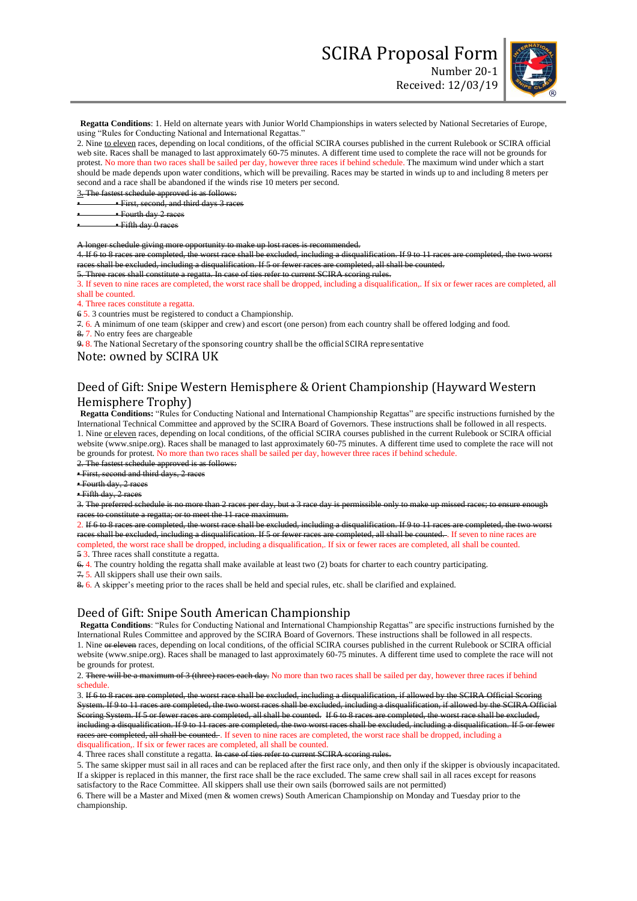Received: 12/03/19



**Regatta Conditions**: 1. Held on alternate years with Junior World Championships in waters selected by National Secretaries of Europe, using "Rules for Conducting National and International Regattas."

2. Nine to eleven races, depending on local conditions, of the official SCIRA courses published in the current Rulebook or SCIRA official web site. Races shall be managed to last approximately 60-75 minutes. A different time used to complete the race will not be grounds for protest. No more than two races shall be sailed per day, however three races if behind schedule. The maximum wind under which a start should be made depends upon water conditions, which will be prevailing. Races may be started in winds up to and including 8 meters per second and a race shall be abandoned if the winds rise 10 meters per second.

3. The fastest schedule approved is as follows:

• • First, second, and third days 3 races

• • Fourth day 2 races

• • Fifth day 0 races

longer schedule giving more opportunity to make up lost races

4. If 6 to 8 races are completed, the worst race shall be excluded, including a disqualification. If 9 to 11 ra races shall be excluded, including a disqualification. If 5 or fewer races are completed, all shall be counted.

5. Three races shall constitute a regatta. In case of ties refer to current SCIRA scoring rules.

3. If seven to nine races are completed, the worst race shall be dropped, including a disqualification,. If six or fewer races are completed, all shall be counted.

4. Three races constitute a regatta.

6 5. 3 countries must be registered to conduct a Championship.

7. 6. A minimum of one team (skipper and crew) and escort (one person) from each country shall be offered lodging and food. 8. 7. No entry fees are chargeable

9. 8. The National Secretary of the sponsoring country shall be the official SCIRA representative

#### Note: owned by SCIRA UK

## Deed of Gift: Snipe Western Hemisphere & Orient Championship (Hayward Western Hemisphere Trophy)

**Regatta Conditions:** "Rules for Conducting National and International Championship Regattas" are specific instructions furnished by the International Technical Committee and approved by the SCIRA Board of Governors. These instructions shall be followed in all respects. 1. Nine or eleven races, depending on local conditions, of the official SCIRA courses published in the current Rulebook or SCIRA official website (www.snipe.org). Races shall be managed to last approximately 60-75 minutes. A different time used to complete the race will not be grounds for protest. No more than two races shall be sailed per day, however three races if behind schedule. 2. The fastest schedule approved is as follows:

• First, second and third days, 2 races

• Fourth day, 2 races

• Fifth day, 2 races

3. The preferred schedule is no more than 2 races per day, but a 3 race day is permissible only to make up missed races; to ensure enough races to constitute a regatta; or to meet the 11 race maximum.

2. If 6 to 8 races are completed, the worst race shall be excluded, including a disqualification. If 9 to 11 races are completed, the two races shall be excluded, including a disqualification. If 5 or fewer races are completed, all shall be counted. If seven to nine races are

completed, the worst race shall be dropped, including a disqualification,. If six or fewer races are completed, all shall be counted. 5 3. Three races shall constitute a regatta.

6. 4. The country holding the regatta shall make available at least two (2) boats for charter to each country participating.

7. 5. All skippers shall use their own sails.

8. 6. A skipper's meeting prior to the races shall be held and special rules, etc. shall be clarified and explained.

### Deed of Gift: Snipe South American Championship

**Regatta Conditions**: "Rules for Conducting National and International Championship Regattas" are specific instructions furnished by the International Rules Committee and approved by the SCIRA Board of Governors. These instructions shall be followed in all respects. 1. Nine or eleven races, depending on local conditions, of the official SCIRA courses published in the current Rulebook or SCIRA official website (www.snipe.org). Races shall be managed to last approximately 60-75 minutes. A different time used to complete the race will not be grounds for protest.

2. There will be a maximum of 3 (three) races each day. No more than two races shall be sailed per day, however three races if behind schedule.

3. If 6 to 8 races are completed, the worst race shall be excluded, including a disqualification, if allowed by the SCIRA Official Scoring System. If 9 to 11 races are completed, the two worst races shall be excluded, including a disqualification, if allowed by the SCIRA Official Scoring System. If 5 or fewer races are completed, all shall be counted. If 6 to 8 races are completed, the worst race shall be excluded, including a disqualification. If 9 to 11 races are completed, the two worst races shall be excluded, including a disqualification. If 5 or fewer races are completed, all shall be counted. If seven to nine races are completed, the worst race shall be dropped, including a disqualification,. If six or fewer races are completed, all shall be counted.

4. Three races shall constitute a regatta. In case of ties refer to current SCIRA scoring rules.

5. The same skipper must sail in all races and can be replaced after the first race only, and then only if the skipper is obviously incapacitated. If a skipper is replaced in this manner, the first race shall be the race excluded. The same crew shall sail in all races except for reasons satisfactory to the Race Committee. All skippers shall use their own sails (borrowed sails are not permitted)

6. There will be a Master and Mixed (men & women crews) South American Championship on Monday and Tuesday prior to the championship.